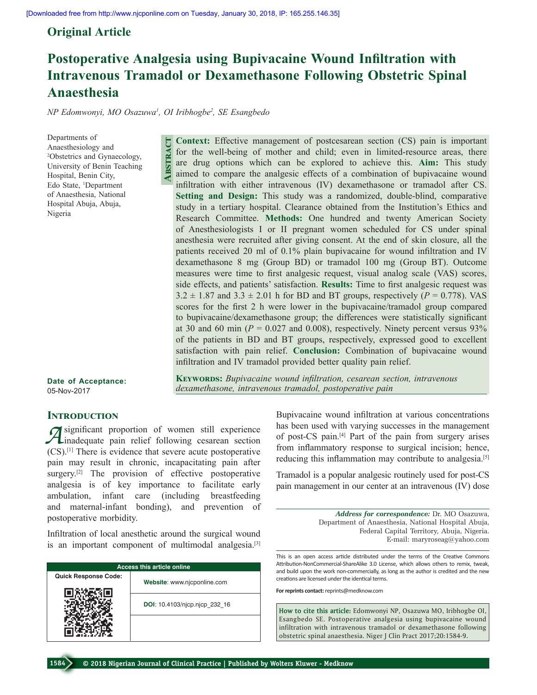## **Original Article**

# **Postoperative Analgesia using Bupivacaine Wound Infiltration with Intravenous Tramadol or Dexamethasone Following Obstetric Spinal Anaesthesia**

*NP Edomwonyi, MO Osazuwa1 , OI Iribhogbe2 , SE Esangbedo*

**Abstract**

ABSTRACT

Departments of Anaesthesiology and 2 Obstetrics and Gynaecology, University of Benin Teaching Hospital, Benin City, Edo State, 1 Department of Anaesthesia, National Hospital Abuja, Abuja, Nigeria

infiltration with either intravenous (IV) dexamethasone or tramadol after CS. **Setting and Design:** This study was a randomized, double-blind, comparative study in a tertiary hospital. Clearance obtained from the Institution's Ethics and Research Committee. **Methods:** One hundred and twenty American Society of Anesthesiologists I or II pregnant women scheduled for CS under spinal anesthesia were recruited after giving consent. At the end of skin closure, all the patients received 20 ml of 0.1% plain bupivacaine for wound infiltration and IV dexamethasone 8 mg (Group BD) or tramadol 100 mg (Group BT). Outcome measures were time to first analgesic request, visual analog scale (VAS) scores, side effects, and patients' satisfaction. **Results:** Time to first analgesic request was  $3.2 \pm 1.87$  and  $3.3 \pm 2.01$  h for BD and BT groups, respectively ( $P = 0.778$ ). VAS scores for the first 2 h were lower in the bupivacaine/tramadol group compared to bupivacaine/dexamethasone group; the differences were statistically significant at 30 and 60 min  $(P = 0.027$  and 0.008), respectively. Ninety percent versus 93% of the patients in BD and BT groups, respectively, expressed good to excellent satisfaction with pain relief. **Conclusion:** Combination of bupivacaine wound infiltration and IV tramadol provided better quality pain relief.

**Context:** Effective management of postcesarean section (CS) pain is important for the well-being of mother and child; even in limited-resource areas, there are drug options which can be explored to achieve this. **Aim:** This study aimed to compare the analgesic effects of a combination of bupivacaine wound

**Date of Acceptance:** 05-Nov-2017

**Keywords:** *Bupivacaine wound infiltration, cesarean section, intravenous dexamethasone, intravenous tramadol, postoperative pain*

### **INTRODUCTION**

*A* significant proportion of women still experience<br>  $\frac{1}{2}$  inadequate pain relief following cesarean section (CS).[1] There is evidence that severe acute postoperative pain may result in chronic, incapacitating pain after surgery.<sup>[2]</sup> The provision of effective postoperative analgesia is of key importance to facilitate early ambulation, infant care (including breastfeeding and maternal‑infant bonding), and prevention of postoperative morbidity.

Infiltration of local anesthetic around the surgical wound is an important component of multimodal analgesia.<sup>[3]</sup>

| <b>Access this article online</b> |                               |  |  |  |
|-----------------------------------|-------------------------------|--|--|--|
| <b>Quick Response Code:</b>       | Website: www.njcponline.com   |  |  |  |
|                                   | DOI: 10.4103/njcp.njcp 232 16 |  |  |  |
|                                   |                               |  |  |  |

Bupivacaine wound infiltration at various concentrations has been used with varying successes in the management of post‑CS pain.[4] Part of the pain from surgery arises from inflammatory response to surgical incision; hence, reducing this inflammation may contribute to analgesia.[5]

Tramadol is a popular analgesic routinely used for post‑CS pain management in our center at an intravenous (IV) dose

> *Address for correspondence:* Dr. MO Osazuwa, Department of Anaesthesia, National Hospital Abuja, Federal Capital Territory, Abuja, Nigeria. E‑mail: maryroseag@yahoo.com

This is an open access article distributed under the terms of the Creative Commons Attribution-NonCommercial-ShareAlike 3.0 License, which allows others to remix, tweak, and build upon the work non-commercially, as long as the author is credited and the new creations are licensed under the identical terms.

**For reprints contact:** reprints@medknow.com

**How to cite this article:** Edomwonyi NP, Osazuwa MO, Iribhogbe OI, Esangbedo SE. Postoperative analgesia using bupivacaine wound infiltration with intravenous tramadol or dexamethasone following obstetric spinal anaesthesia. Niger J Clin Pract 2017;20:1584-9.

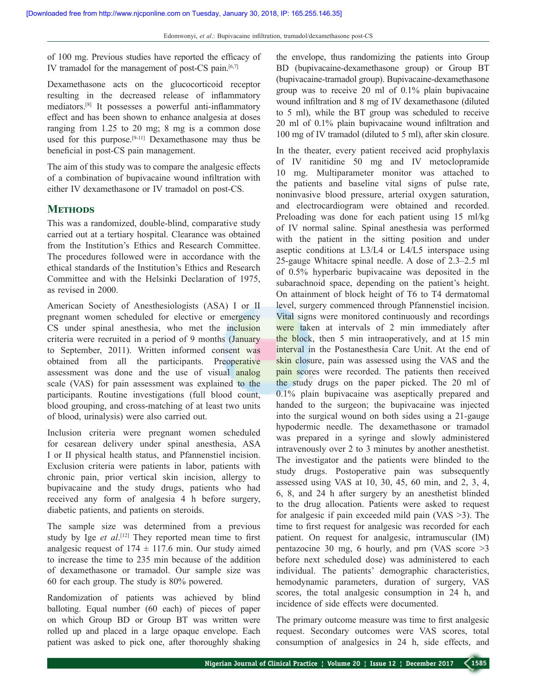of 100 mg. Previous studies have reported the efficacy of IV tramadol for the management of post-CS pain.<sup>[6,7]</sup>

Dexamethasone acts on the glucocorticoid receptor resulting in the decreased release of inflammatory mediators.<sup>[8]</sup> It possesses a powerful anti-inflammatory effect and has been shown to enhance analgesia at doses ranging from 1.25 to 20 mg; 8 mg is a common dose used for this purpose.<sup>[9-11]</sup> Dexamethasone may thus be beneficial in post‑CS pain management.

The aim of this study was to compare the analgesic effects of a combination of bupivacaine wound infiltration with either IV dexamethasone or IV tramadol on post-CS.

#### **Methods**

This was a randomized, double-blind, comparative study carried out at a tertiary hospital. Clearance was obtained from the Institution's Ethics and Research Committee. The procedures followed were in accordance with the ethical standards of the Institution's Ethics and Research Committee and with the Helsinki Declaration of 1975, as revised in 2000.

American Society of Anesthesiologists (ASA) I or II pregnant women scheduled for elective or emergency CS under spinal anesthesia, who met the inclusion criteria were recruited in a period of 9 months (January to September, 2011). Written informed consent was obtained from all the participants. Preoperative assessment was done and the use of visual analog scale (VAS) for pain assessment was explained to the participants. Routine investigations (full blood count, blood grouping, and cross-matching of at least two units of blood, urinalysis) were also carried out.

Inclusion criteria were pregnant women scheduled for cesarean delivery under spinal anesthesia, ASA I or II physical health status, and Pfannenstiel incision. Exclusion criteria were patients in labor, patients with chronic pain, prior vertical skin incision, allergy to bupivacaine and the study drugs, patients who had received any form of analgesia 4 h before surgery, diabetic patients, and patients on steroids.

The sample size was determined from a previous study by Ige *et al*. [12] They reported mean time to first analgesic request of  $174 \pm 117.6$  min. Our study aimed to increase the time to 235 min because of the addition of dexamethasone or tramadol. Our sample size was 60 for each group. The study is 80% powered.

Randomization of patients was achieved by blind balloting. Equal number (60 each) of pieces of paper on which Group BD or Group BT was written were rolled up and placed in a large opaque envelope. Each patient was asked to pick one, after thoroughly shaking the envelope, thus randomizing the patients into Group BD (bupivacaine‑dexamethasone group) or Group BT (bupivacaine‑tramadol group). Bupivacaine-dexamethasone group was to receive 20 ml of 0.1% plain bupivacaine wound infiltration and 8 mg of IV dexamethasone (diluted to 5 ml), while the BT group was scheduled to receive 20 ml of 0.1% plain bupivacaine wound infiltration and 100 mg of IV tramadol (diluted to 5 ml), after skin closure.

In the theater, every patient received acid prophylaxis of IV ranitidine 50 mg and IV metoclopramide 10 mg. Multiparameter monitor was attached to the patients and baseline vital signs of pulse rate, noninvasive blood pressure, arterial oxygen saturation, and electrocardiogram were obtained and recorded. Preloading was done for each patient using 15 ml/kg of IV normal saline. Spinal anesthesia was performed with the patient in the sitting position and under aseptic conditions at L3/L4 or L4/L5 interspace using 25‑gauge Whitacre spinal needle. A dose of 2.3–2.5 ml of 0.5% hyperbaric bupivacaine was deposited in the subarachnoid space, depending on the patient's height. On attainment of block height of T6 to T4 dermatomal level, surgery commenced through Pfannenstiel incision. Vital signs were monitored continuously and recordings were taken at intervals of 2 min immediately after the block, then 5 min intraoperatively, and at 15 min interval in the Postanesthesia Care Unit. At the end of skin closure, pain was assessed using the VAS and the pain scores were recorded. The patients then received the study drugs on the paper picked. The 20 ml of 0.1% plain bupivacaine was aseptically prepared and handed to the surgeon; the bupivacaine was injected into the surgical wound on both sides using a 21‑gauge hypodermic needle. The dexamethasone or tramadol was prepared in a syringe and slowly administered intravenously over 2 to 3 minutes by another anesthetist. The investigator and the patients were blinded to the study drugs. Postoperative pain was subsequently assessed using VAS at 10, 30, 45, 60 min, and 2, 3, 4, 6, 8, and 24 h after surgery by an anesthetist blinded to the drug allocation. Patients were asked to request for analgesic if pain exceeded mild pain (VAS >3). The time to first request for analgesic was recorded for each patient. On request for analgesic, intramuscular (IM) pentazocine 30 mg, 6 hourly, and prn (VAS score  $>3$ before next scheduled dose) was administered to each individual. The patients' demographic characteristics, hemodynamic parameters, duration of surgery, VAS scores, the total analgesic consumption in 24 h, and incidence of side effects were documented.

The primary outcome measure was time to first analgesic request. Secondary outcomes were VAS scores, total consumption of analgesics in 24 h, side effects, and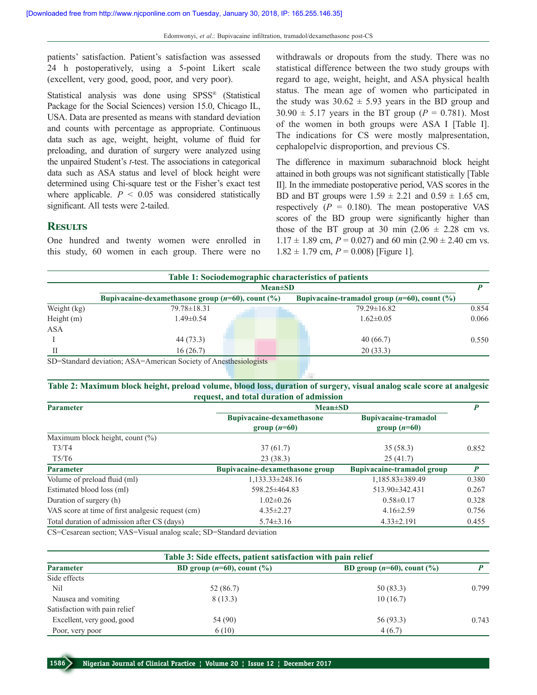patients' satisfaction. Patient's satisfaction was assessed 24 h postoperatively, using a 5‑point Likert scale (excellent, very good, good, poor, and very poor).

Statistical analysis was done using SPSS® (Statistical Package for the Social Sciences) version 15.0, Chicago IL, USA. Data are presented as means with standard deviation and counts with percentage as appropriate. Continuous data such as age, weight, height, volume of fluid for preloading, and duration of surgery were analyzed using the unpaired Student's *t*-test. The associations in categorical data such as ASA status and level of block height were determined using Chi‑square test or the Fisher's exact test where applicable.  $P \leq 0.05$  was considered statistically significant. All tests were 2-tailed.

#### **Results**

One hundred and twenty women were enrolled in this study, 60 women in each group. There were no withdrawals or dropouts from the study. There was no statistical difference between the two study groups with regard to age, weight, height, and ASA physical health status. The mean age of women who participated in the study was  $30.62 \pm 5.93$  years in the BD group and  $30.90 \pm 5.17$  years in the BT group ( $P = 0.781$ ). Most of the women in both groups were ASA I [Table I]. The indications for CS were mostly malpresentation, cephalopelvic disproportion, and previous CS.

The difference in maximum subarachnoid block height attained in both groups was not significant statistically [Table II]. In the immediate postoperative period, VAS scores in the BD and BT groups were  $1.59 \pm 2.21$  and  $0.59 \pm 1.65$  cm, respectively  $(P = 0.180)$ . The mean postoperative VAS scores of the BD group were significantly higher than those of the BT group at 30 min  $(2.06 \pm 2.28$  cm vs.  $1.17 \pm 1.89$  cm,  $P = 0.027$ ) and 60 min (2.90  $\pm$  2.40 cm vs.  $1.82 \pm 1.79$  cm,  $P = 0.008$ ) [Figure 1].

| Table 1: Sociodemographic characteristics of patients |                                                         |                                                    |       |  |  |  |  |
|-------------------------------------------------------|---------------------------------------------------------|----------------------------------------------------|-------|--|--|--|--|
|                                                       | $Mean \pm SD$                                           |                                                    |       |  |  |  |  |
|                                                       | Bupivacaine-dexamethasone group $(n=60)$ , count $(\%)$ | Bupivacaine-tramadol group $(n=60)$ , count $(\%)$ |       |  |  |  |  |
| Weight (kg)                                           | 79.78 ± 18.31                                           | $79.29 \pm 16.82$                                  | 0.854 |  |  |  |  |
| Height $(m)$                                          | $1.49 \pm 0.54$                                         | $1.62 \pm 0.05$                                    | 0.066 |  |  |  |  |
| <b>ASA</b>                                            |                                                         |                                                    |       |  |  |  |  |
|                                                       | 44 (73.3)                                               | 40(66.7)                                           | 0.550 |  |  |  |  |
|                                                       | 16(26.7)                                                | 20(33.3)                                           |       |  |  |  |  |

SD=Standard deviation; ASA=American Society of Anesthesiologists

#### **Table 2: Maximum block height, preload volume, blood loss, duration of surgery, visual analog scale score at analgesic request, and total duration of admission**

| <b>Parameter</b>                                  | $Mean \pm SD$                                      |                                               |       |
|---------------------------------------------------|----------------------------------------------------|-----------------------------------------------|-------|
|                                                   | <b>Bupivacaine-dexamethasone</b><br>group $(n=60)$ | <b>Bupivacaine-tramadol</b><br>group $(n=60)$ |       |
| Maximum block height, count $(\%)$                |                                                    |                                               |       |
| T3/T4                                             | 37(61.7)                                           | 35(58.3)                                      | 0.852 |
| T5/T6                                             | 23(38.3)                                           | 25(41.7)                                      |       |
| <b>Parameter</b>                                  | Bupivacaine-dexamethasone group                    | <b>Bupivacaine-tramadol group</b>             | P     |
| Volume of preload fluid (ml)                      | $1,133.33\pm 248.16$                               | 1,185.83±389.49                               | 0.380 |
| Estimated blood loss (ml)                         | 598.25±464.83                                      | 513.90±342.431                                | 0.267 |
| Duration of surgery (h)                           | $1.02 \pm 0.26$                                    | $0.58 \pm 0.17$                               | 0.328 |
| VAS score at time of first analgesic request (cm) | $4.35 \pm 2.27$                                    | $4.16\pm2.59$                                 | 0.756 |
| Total duration of admission after CS (days)       | $5.74 \pm 3.16$                                    | $4.33 \pm 2.191$                              | 0.455 |

CS=Cesarean section; VAS=Visual analog scale; SD=Standard deviation

| Table 3: Side effects, patient satisfaction with pain relief |                                   |                                   |       |  |  |  |
|--------------------------------------------------------------|-----------------------------------|-----------------------------------|-------|--|--|--|
| <b>Parameter</b>                                             | BD group $(n=60)$ , count $(\% )$ | BD group $(n=60)$ , count $(\% )$ |       |  |  |  |
| Side effects                                                 |                                   |                                   |       |  |  |  |
| Nil                                                          | 52 (86.7)                         | 50(83.3)                          | 0.799 |  |  |  |
| Nausea and vomiting                                          | 8(13.3)                           | 10(16.7)                          |       |  |  |  |
| Satisfaction with pain relief                                |                                   |                                   |       |  |  |  |
| Excellent, very good, good                                   | 54 (90)                           | 56 (93.3)                         | 0.743 |  |  |  |
| Poor, very poor                                              | 6(10)                             | 4(6.7)                            |       |  |  |  |

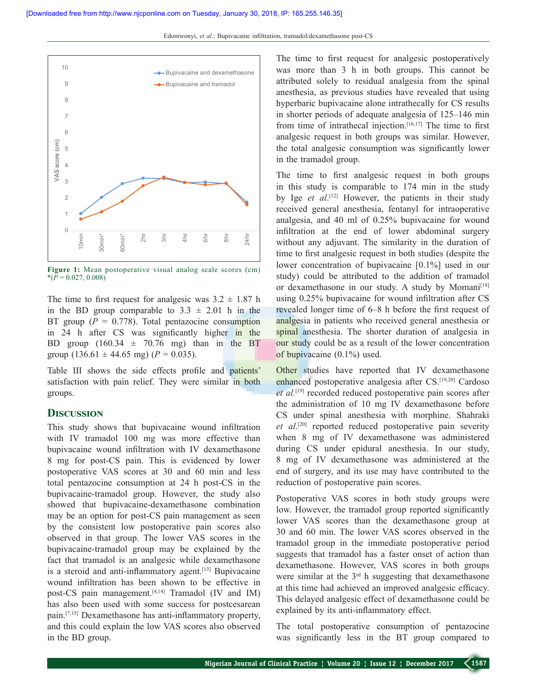

**Figure 1:** Mean postoperative visual analog scale scores (cm)  $*(P = 0.027, 0.008)$ 

The time to first request for analgesic was  $3.2 \pm 1.87$  h in the BD group comparable to  $3.3 \pm 2.01$  h in the BT group  $(P = 0.778)$ . Total pentazocine consumption in 24 h after CS was significantly higher in the BD group  $(160.34 \pm 70.76 \text{ mg})$  than in the BT group  $(136.61 \pm 44.65 \text{ mg})$   $(P = 0.035)$ .

Table III shows the side effects profile and patients' satisfaction with pain relief. They were similar in both groups.

#### **Discussion**

This study shows that bupivacaine wound infiltration with IV tramadol 100 mg was more effective than bupivacaine wound infiltration with IV dexamethasone 8 mg for post‑CS pain. This is evidenced by lower postoperative VAS scores at 30 and 60 min and less total pentazocine consumption at 24 h post‑CS in the bupivacaine-tramadol group. However, the study also showed that bupivacaine-dexamethasone combination may be an option for post-CS pain management as seen by the consistent low postoperative pain scores also observed in that group. The lower VAS scores in the bupivacaine‑tramadol group may be explained by the fact that tramadol is an analgesic while dexamethasone is a steroid and anti-inflammatory agent.<sup>[13]</sup> Bupivacaine wound infiltration has been shown to be effective in post-CS pain management.<sup>[4,14]</sup> Tramadol (IV and IM) has also been used with some success for postcesarean pain.<sup>[7,15]</sup> Dexamethasone has anti-inflammatory property, and this could explain the low VAS scores also observed in the BD group.

The time to first request for analgesic postoperatively was more than 3 h in both groups. This cannot be attributed solely to residual analgesia from the spinal anesthesia, as previous studies have revealed that using hyperbaric bupivacaine alone intrathecally for CS results in shorter periods of adequate analgesia of 125–146 min from time of intrathecal injection.<sup>[16,17]</sup> The time to first analgesic request in both groups was similar. However, the total analgesic consumption was significantly lower in the tramadol group.

The time to first analgesic request in both groups in this study is comparable to 174 min in the study by Ige *et al*. [12] However, the patients in their study received general anesthesia, fentanyl for intraoperative analgesia, and 40 ml of 0.25% bupivacaine for wound infiltration at the end of lower abdominal surgery without any adjuvant. The similarity in the duration of time to first analgesic request in both studies (despite the lower concentration of bupivacaine [0.1%] used in our study) could be attributed to the addition of tramadol or dexamethasone in our study. A study by Momani<sup>[18]</sup> using 0.25% bupivacaine for wound infiltration after CS revealed longer time of 6–8 h before the first request of analgesia in patients who received general anesthesia or spinal anesthesia. The shorter duration of analgesia in our study could be as a result of the lower concentration of bupivacaine (0.1%) used.

Other studies have reported that IV dexamethasone enhanced postoperative analgesia after CS.[19,20] Cardoso *et al.*[19] recorded reduced postoperative pain scores after the administration of 10 mg IV dexamethasone before CS under spinal anesthesia with morphine. Shahraki *et al*. [20] reported reduced postoperative pain severity when 8 mg of IV dexamethasone was administered during CS under epidural anesthesia. In our study, 8 mg of IV dexamethasone was administered at the end of surgery, and its use may have contributed to the reduction of postoperative pain scores.

Postoperative VAS scores in both study groups were low. However, the tramadol group reported significantly lower VAS scores than the dexamethasone group at 30 and 60 min. The lower VAS scores observed in the tramadol group in the immediate postoperative period suggests that tramadol has a faster onset of action than dexamethasone. However, VAS scores in both groups were similar at the 3<sup>rd</sup> h suggesting that dexamethasone at this time had achieved an improved analgesic efficacy. This delayed analgesic effect of dexamethasone could be explained by its anti-inflammatory effect.

The total postoperative consumption of pentazocine was significantly less in the BT group compared to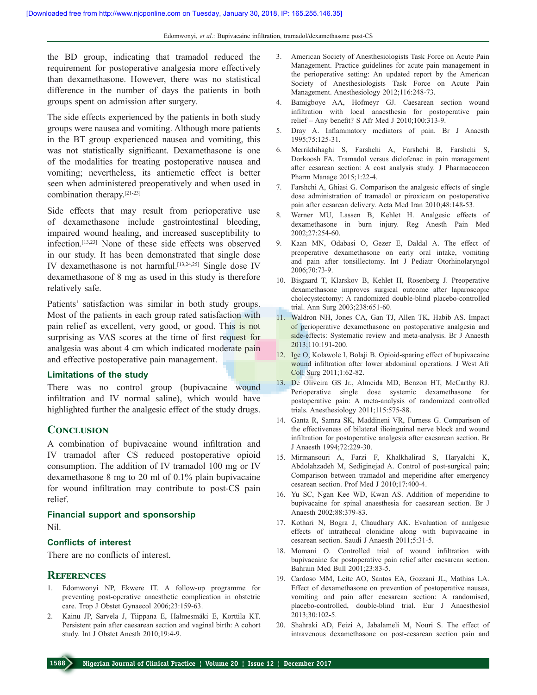the BD group, indicating that tramadol reduced the requirement for postoperative analgesia more effectively than dexamethasone. However, there was no statistical difference in the number of days the patients in both groups spent on admission after surgery.

The side effects experienced by the patients in both study groups were nausea and vomiting. Although more patients in the BT group experienced nausea and vomiting, this was not statistically significant. Dexamethasone is one of the modalities for treating postoperative nausea and vomiting; nevertheless, its antiemetic effect is better seen when administered preoperatively and when used in combination therapy.[21‑23]

Side effects that may result from perioperative use of dexamethasone include gastrointestinal bleeding, impaired wound healing, and increased susceptibility to infection.[13,23] None of these side effects was observed in our study. It has been demonstrated that single dose IV dexamethasone is not harmful.[13,24,25] Single dose IV dexamethasone of 8 mg as used in this study is therefore relatively safe.

Patients' satisfaction was similar in both study groups. Most of the patients in each group rated satisfaction with pain relief as excellent, very good, or good. This is not surprising as VAS scores at the time of first request for analgesia was about 4 cm which indicated moderate pain and effective postoperative pain management.

#### **Limitations of the study**

There was no control group (bupivacaine wound infiltration and IV normal saline), which would have highlighted further the analgesic effect of the study drugs.

#### **Conclusion**

A combination of bupivacaine wound infiltration and IV tramadol after CS reduced postoperative opioid consumption. The addition of IV tramadol 100 mg or IV dexamethasone 8 mg to 20 ml of 0.1% plain bupivacaine for wound infiltration may contribute to post-CS pain relief.

#### **Financial support and sponsorship**

Nil.

#### **Conflicts of interest**

There are no conflicts of interest.

#### **References**

- 1. Edomwonyi NP, Ekwere IT. A follow‑up programme for preventing post‑operative anaesthetic complication in obstetric care. Trop J Obstet Gynaecol 2006;23:159-63.
- 2. Kainu JP, Sarvela J, Tiippana E, Halmesmäki E, Korttila KT. Persistent pain after caesarean section and vaginal birth: A cohort study. Int J Obstet Anesth 2010;19:4‑9.
- 3. American Society of Anesthesiologists Task Force on Acute Pain Management. Practice guidelines for acute pain management in the perioperative setting: An updated report by the American Society of Anesthesiologists Task Force on Acute Pain Management. Anesthesiology 2012;116:248-73.
- 4. Bamigboye AA, Hofmeyr GJ. Caesarean section wound infiltration with local anaesthesia for postoperative pain relief – Any benefit? S Afr Med J 2010;100:313‑9.
- 5. Dray A. Inflammatory mediators of pain. Br J Anaesth 1995;75:125‑31.
- 6. Merrikhihaghi S, Farshchi A, Farshchi B, Farshchi S, Dorkoosh FA. Tramadol versus diclofenac in pain management after cesarean section: A cost analysis study. J Pharmacoecon Pharm Manage 2015;1:22‑4.
- 7. Farshchi A, Ghiasi G. Comparison the analgesic effects of single dose administration of tramadol or piroxicam on postoperative pain after cesarean delivery. Acta Med Iran 2010;48:148‑53.
- 8. Werner MU, Lassen B, Kehlet H. Analgesic effects of dexamethasone in burn injury. Reg Anesth Pain Med 2002;27:254‑60.
- 9. Kaan MN, Odabasi O, Gezer E, Daldal A. The effect of preoperative dexamethasone on early oral intake, vomiting and pain after tonsillectomy. Int J Pediatr Otorhinolaryngol 2006;70:73‑9.
- 10. Bisgaard T, Klarskov B, Kehlet H, Rosenberg J. Preoperative dexamethasone improves surgical outcome after laparoscopic cholecystectomy: A randomized double‑blind placebo‑controlled trial. Ann Surg 2003;238:651‑60.
- 11. Waldron NH, Jones CA, Gan TJ, Allen TK, Habib AS. Impact of perioperative dexamethasone on postoperative analgesia and side-effects: Systematic review and meta-analysis. Br J Anaesth 2013;110:191‑200.
- 12. Ige O, Kolawole I, Bolaji B. Opioid‑sparing effect of bupivacaine wound infiltration after lower abdominal operations. J West Afr Coll Surg 2011;1:62‑82.
- 13. De Oliveira GS Jr., Almeida MD, Benzon HT, McCarthy RJ. Perioperative single dose systemic dexamethasone for postoperative pain: A meta‑analysis of randomized controlled trials. Anesthesiology 2011;115:575‑88.
- 14. Ganta R, Samra SK, Maddineni VR, Furness G. Comparison of the effectiveness of bilateral ilioinguinal nerve block and wound infiltration for postoperative analgesia after caesarean section. Br J Anaesth 1994;72:229‑30.
- 15. Mirmansouri A, Farzi F, Khalkhalirad S, Haryalchi K, Abdolahzadeh M, Sediginejad A. Control of post-surgical pain; Comparison between tramadol and meperidine after emergency cesarean section. Prof Med J 2010;17:400-4.
- 16. Yu SC, Ngan Kee WD, Kwan AS. Addition of meperidine to bupivacaine for spinal anaesthesia for caesarean section. Br J Anaesth 2002;88:379‑83.
- 17. Kothari N, Bogra J, Chaudhary AK. Evaluation of analgesic effects of intrathecal clonidine along with bupivacaine in cesarean section. Saudi J Anaesth 2011;5:31‑5.
- 18. Momani O. Controlled trial of wound infiltration with bupivacaine for postoperative pain relief after caesarean section. Bahrain Med Bull 2001;23:83‑5.
- 19. Cardoso MM, Leite AO, Santos EA, Gozzani JL, Mathias LA. Effect of dexamethasone on prevention of postoperative nausea, vomiting and pain after caesarean section: A randomised, placebo‑controlled, double‑blind trial. Eur J Anaesthesiol 2013;30:102‑5.
- 20. Shahraki AD, Feizi A, Jabalameli M, Nouri S. The effect of intravenous dexamethasone on post-cesarean section pain and